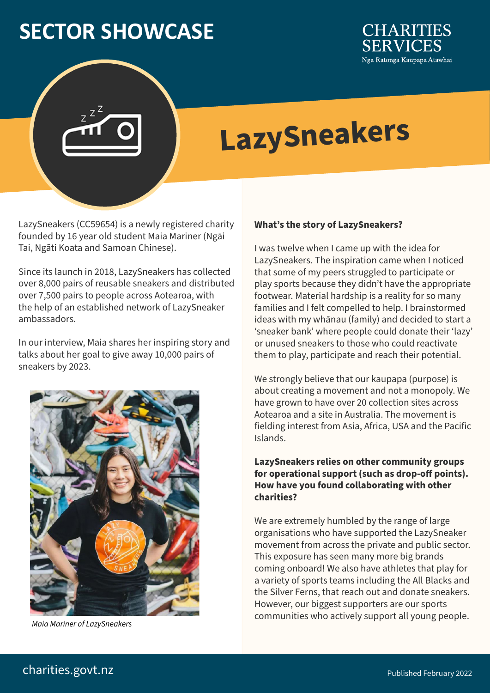## **SECTOR SHOWCASE**



# **LazySneakers**

LazySneakers (CC59654) is a newly registered charity founded by 16 year old student Maia Mariner (Ngāi Tai, Ngāti Koata and Samoan Chinese).

Since its launch in 2018, LazySneakers has collected over 8,000 pairs of reusable sneakers and distributed over 7,500 pairs to people across Aotearoa, with the help of an established network of LazySneaker ambassadors.

In our interview, Maia shares her inspiring story and talks about her goal to give away 10,000 pairs of sneakers by 2023.



#### **What's the story of LazySneakers?**

I was twelve when I came up with the idea for LazySneakers. The inspiration came when I noticed that some of my peers struggled to participate or play sports because they didn't have the appropriate footwear. Material hardship is a reality for so many families and I felt compelled to help. I brainstormed ideas with my whānau (family) and decided to start a 'sneaker bank' where people could donate their 'lazy' or unused sneakers to those who could reactivate them to play, participate and reach their potential.

We strongly believe that our kaupapa (purpose) is about creating a movement and not a monopoly. We have grown to have over 20 collection sites across Aotearoa and a site in Australia. The movement is fielding interest from Asia, Africa, USA and the Pacific Islands.

### **LazySneakers relies on other community groups for operational support (such as drop-off points). How have you found collaborating with other charities?**

We are extremely humbled by the range of large organisations who have supported the LazySneaker movement from across the private and public sector. This exposure has seen many more big brands coming onboard! We also have athletes that play for a variety of sports teams including the All Blacks and the Silver Ferns, that reach out and donate sneakers. However, our biggest supporters are our sports communities who actively support all young people. *Maia Mariner of LazySneakers*